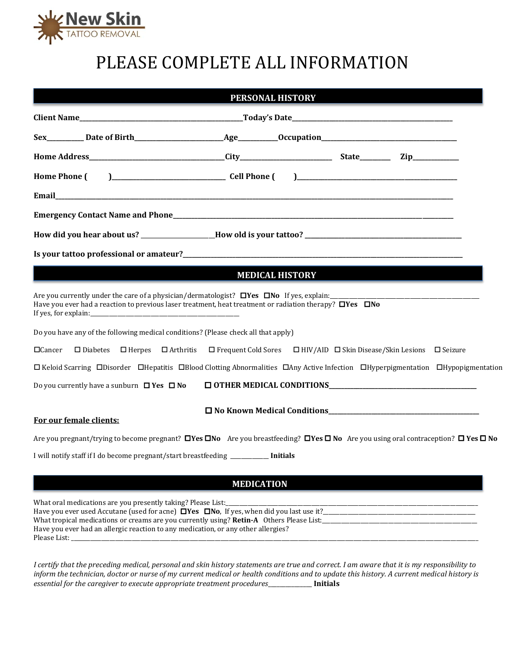

# PLEASE COMPLETE ALL INFORMATION

|                                                                                    | <b>MEDICAL HISTORY</b>                                                                                                                                                   |  |
|------------------------------------------------------------------------------------|--------------------------------------------------------------------------------------------------------------------------------------------------------------------------|--|
| Do you have any of the following medical conditions? (Please check all that apply) | Have you ever had a reaction to previous laser treatment, heat treatment or radiation therapy? $\Box$ Yes $\Box$ No                                                      |  |
| $\Box$ Cancer                                                                      | $\Box$ Diabetes $\Box$ Herpes $\Box$ Arthritis $\Box$ Frequent Cold Sores $\Box$ HIV/AID $\Box$ Skin Disease/Skin Lesions $\Box$ Seizure                                 |  |
|                                                                                    | $\Box$ Keloid Scarring $\Box$ Disorder $\Box$ Hepatitis $\Box$ Blood Clotting Abnormalities $\Box$ Any Active Infection $\Box$ Hyperpigmentation $\Box$ Hypopigmentation |  |
| Do you currently have a sunburn $\Box$ Yes $\Box$ No                               |                                                                                                                                                                          |  |
|                                                                                    | □ No Known Medical Conditions<br>□ No Known Medical Conditions                                                                                                           |  |
| For our female clients:                                                            |                                                                                                                                                                          |  |
|                                                                                    | Are you pregnant/trying to become pregnant? $\Box$ Yes $\Box$ No Are you breastfeeding? $\Box$ Yes $\Box$ No Are you using oral contraception? $\Box$ Yes $\Box$ No      |  |

# **MEDICATION**

What oral medications are you presently taking? Please List:\_ Have you ever used Accutane (used for acne)  $\Box$  Yes  $\Box$  No, If yes, when did you last use it? What tropical medications or creams are you currently using? **Retin-A** Others Please List: Have you ever had an allergic reaction to any medication, or any other allergies? Please List: \_\_\_\_\_\_\_\_\_\_\_\_\_\_\_\_\_\_\_\_\_\_\_\_\_\_\_\_\_\_\_\_\_\_\_\_\_\_\_\_\_\_\_\_\_\_\_\_\_\_\_\_\_\_\_\_\_\_\_\_\_\_\_\_\_\_\_\_\_\_\_\_\_\_\_\_\_\_\_\_\_\_\_\_\_\_\_\_\_\_\_\_\_\_\_\_\_\_\_\_\_\_\_\_\_\_\_\_\_\_\_\_\_\_\_\_\_\_\_\_\_\_\_\_\_\_\_\_\_\_\_\_\_\_\_\_\_\_\_\_\_\_\_\_\_\_\_

*I certify that the preceding medical, personal and skin history statements are true and correct. I am aware that it is my responsibility to inform the technician, doctor or nurse of my current medical or health conditions and to update this history. A current medical history is essential for the caregiver to execute appropriate treatment procedures*\_\_\_\_\_\_\_\_\_\_\_\_\_\_\_ **Initials**